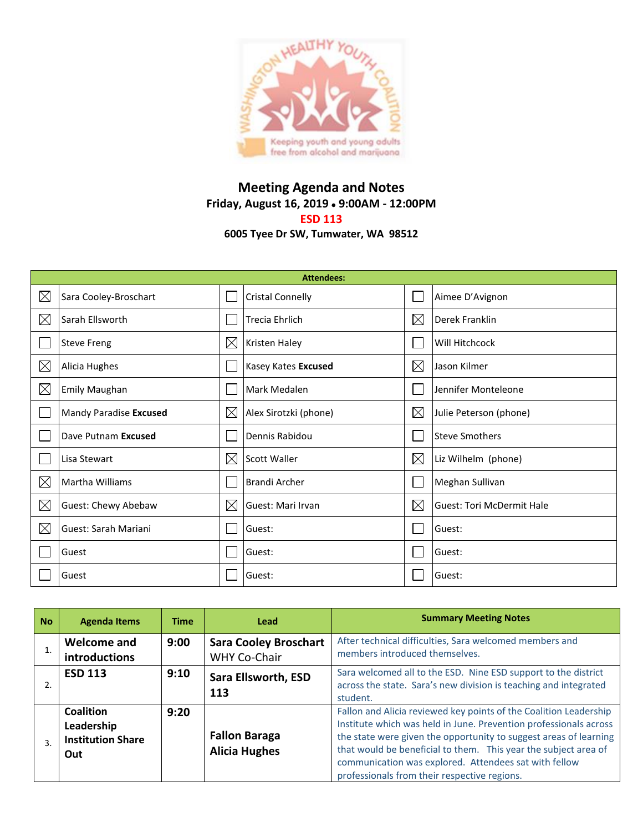

## **Meeting Agenda and Notes Friday, August 16, 2019 9:00AM - 12:00PM ESD 113 6005 Tyee Dr SW, Tumwater, WA 98512**

|             | <b>Attendees:</b>      |             |                         |             |                                  |  |  |  |
|-------------|------------------------|-------------|-------------------------|-------------|----------------------------------|--|--|--|
| $\boxtimes$ | Sara Cooley-Broschart  |             | <b>Cristal Connelly</b> |             | Aimee D'Avignon                  |  |  |  |
| $\boxtimes$ | Sarah Ellsworth        |             | <b>Trecia Ehrlich</b>   | $\boxtimes$ | Derek Franklin                   |  |  |  |
|             | <b>Steve Freng</b>     | $\boxtimes$ | <b>Kristen Haley</b>    |             | Will Hitchcock                   |  |  |  |
| $\boxtimes$ | Alicia Hughes          |             | Kasey Kates Excused     | $\boxtimes$ | Jason Kilmer                     |  |  |  |
| $\boxtimes$ | <b>Emily Maughan</b>   |             | Mark Medalen            |             | Jennifer Monteleone              |  |  |  |
|             | Mandy Paradise Excused | $\boxtimes$ | Alex Sirotzki (phone)   | $\boxtimes$ | Julie Peterson (phone)           |  |  |  |
|             | Dave Putnam Excused    |             | Dennis Rabidou          |             | <b>Steve Smothers</b>            |  |  |  |
|             | Lisa Stewart           | $\boxtimes$ | <b>Scott Waller</b>     | $\boxtimes$ | Liz Wilhelm (phone)              |  |  |  |
| $\boxtimes$ | Martha Williams        |             | <b>Brandi Archer</b>    | I.          | Meghan Sullivan                  |  |  |  |
| $\boxtimes$ | Guest: Chewy Abebaw    | $\boxtimes$ | Guest: Mari Irvan       | $\boxtimes$ | <b>Guest: Tori McDermit Hale</b> |  |  |  |
| $\boxtimes$ | Guest: Sarah Mariani   |             | Guest:                  |             | Guest:                           |  |  |  |
|             | Guest                  |             | Guest:                  |             | Guest:                           |  |  |  |
|             | Guest                  |             | Guest:                  |             | Guest:                           |  |  |  |

| <b>No</b> | <b>Agenda Items</b>                                        | <b>Time</b> | Lead                                         | <b>Summary Meeting Notes</b>                                                                                                                                                                                                                                                                                                                                                            |
|-----------|------------------------------------------------------------|-------------|----------------------------------------------|-----------------------------------------------------------------------------------------------------------------------------------------------------------------------------------------------------------------------------------------------------------------------------------------------------------------------------------------------------------------------------------------|
|           | Welcome and<br>introductions                               | 9:00        | <b>Sara Cooley Broschart</b><br>WHY Co-Chair | After technical difficulties, Sara welcomed members and<br>members introduced themselves.                                                                                                                                                                                                                                                                                               |
| 2.        | <b>ESD 113</b>                                             | 9:10        | Sara Ellsworth, ESD<br>113                   | Sara welcomed all to the ESD. Nine ESD support to the district<br>across the state. Sara's new division is teaching and integrated<br>student.                                                                                                                                                                                                                                          |
| 3.        | Coalition<br>Leadership<br><b>Institution Share</b><br>Out | 9:20        | <b>Fallon Baraga</b><br><b>Alicia Hughes</b> | Fallon and Alicia reviewed key points of the Coalition Leadership<br>Institute which was held in June. Prevention professionals across<br>the state were given the opportunity to suggest areas of learning<br>that would be beneficial to them. This year the subject area of<br>communication was explored. Attendees sat with fellow<br>professionals from their respective regions. |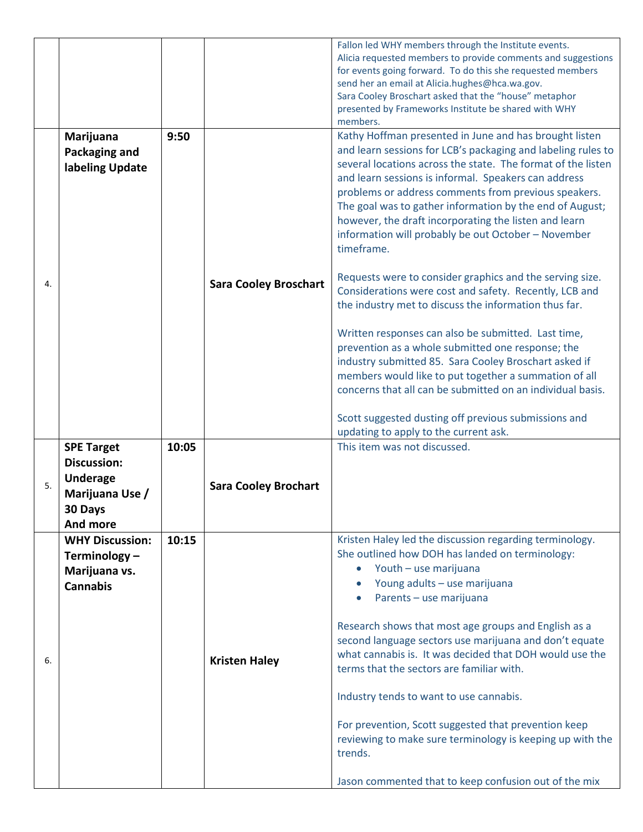|    |                                                                                                      |       |                              | Fallon led WHY members through the Institute events.<br>Alicia requested members to provide comments and suggestions<br>for events going forward. To do this she requested members<br>send her an email at Alicia.hughes@hca.wa.gov.<br>Sara Cooley Broschart asked that the "house" metaphor<br>presented by Frameworks Institute be shared with WHY<br>members.                                                                                                                                                                                                                                                                                                                                                                                                                                                                                                                                                                                                                                                                                                            |
|----|------------------------------------------------------------------------------------------------------|-------|------------------------------|------------------------------------------------------------------------------------------------------------------------------------------------------------------------------------------------------------------------------------------------------------------------------------------------------------------------------------------------------------------------------------------------------------------------------------------------------------------------------------------------------------------------------------------------------------------------------------------------------------------------------------------------------------------------------------------------------------------------------------------------------------------------------------------------------------------------------------------------------------------------------------------------------------------------------------------------------------------------------------------------------------------------------------------------------------------------------|
| 4. | Marijuana<br>Packaging and<br>labeling Update                                                        | 9:50  | <b>Sara Cooley Broschart</b> | Kathy Hoffman presented in June and has brought listen<br>and learn sessions for LCB's packaging and labeling rules to<br>several locations across the state. The format of the listen<br>and learn sessions is informal. Speakers can address<br>problems or address comments from previous speakers.<br>The goal was to gather information by the end of August;<br>however, the draft incorporating the listen and learn<br>information will probably be out October - November<br>timeframe.<br>Requests were to consider graphics and the serving size.<br>Considerations were cost and safety. Recently, LCB and<br>the industry met to discuss the information thus far.<br>Written responses can also be submitted. Last time,<br>prevention as a whole submitted one response; the<br>industry submitted 85. Sara Cooley Broschart asked if<br>members would like to put together a summation of all<br>concerns that all can be submitted on an individual basis.<br>Scott suggested dusting off previous submissions and<br>updating to apply to the current ask. |
| 5. | <b>SPE Target</b><br><b>Discussion:</b><br><b>Underage</b><br>Marijuana Use /<br>30 Days<br>And more | 10:05 | <b>Sara Cooley Brochart</b>  | This item was not discussed.                                                                                                                                                                                                                                                                                                                                                                                                                                                                                                                                                                                                                                                                                                                                                                                                                                                                                                                                                                                                                                                 |
| 6. | <b>WHY Discussion:</b><br>Terminology -<br>Marijuana vs.<br><b>Cannabis</b>                          | 10:15 | <b>Kristen Haley</b>         | Kristen Haley led the discussion regarding terminology.<br>She outlined how DOH has landed on terminology:<br>Youth - use marijuana<br>$\bullet$<br>Young adults - use marijuana<br>$\bullet$<br>Parents - use marijuana<br>Research shows that most age groups and English as a<br>second language sectors use marijuana and don't equate<br>what cannabis is. It was decided that DOH would use the<br>terms that the sectors are familiar with.<br>Industry tends to want to use cannabis.<br>For prevention, Scott suggested that prevention keep<br>reviewing to make sure terminology is keeping up with the<br>trends.<br>Jason commented that to keep confusion out of the mix                                                                                                                                                                                                                                                                                                                                                                                       |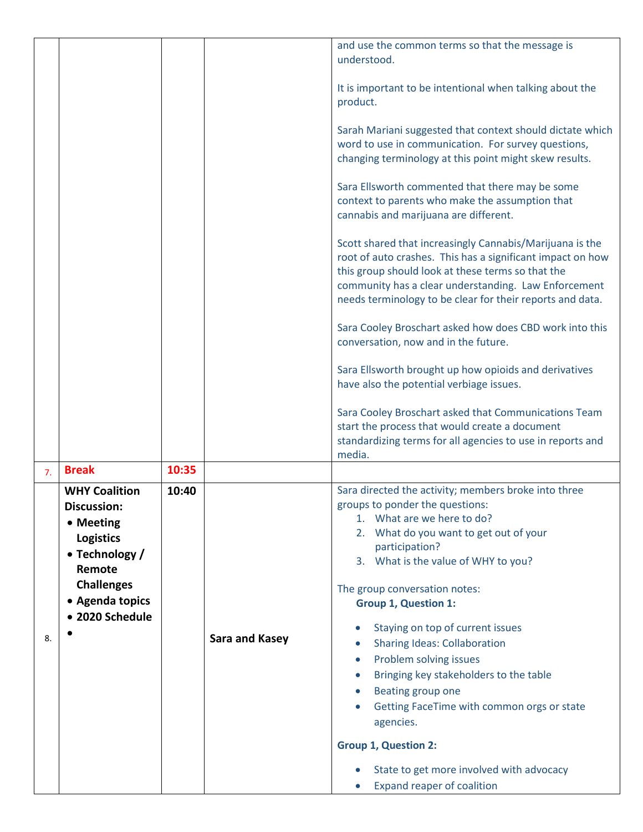|    |                                                                                                                                                                    |       |                       | and use the common terms so that the message is<br>understood.                                                                                                                                                                                                                                                                                                                                             |
|----|--------------------------------------------------------------------------------------------------------------------------------------------------------------------|-------|-----------------------|------------------------------------------------------------------------------------------------------------------------------------------------------------------------------------------------------------------------------------------------------------------------------------------------------------------------------------------------------------------------------------------------------------|
|    |                                                                                                                                                                    |       |                       |                                                                                                                                                                                                                                                                                                                                                                                                            |
|    |                                                                                                                                                                    |       |                       | It is important to be intentional when talking about the<br>product.                                                                                                                                                                                                                                                                                                                                       |
|    |                                                                                                                                                                    |       |                       | Sarah Mariani suggested that context should dictate which<br>word to use in communication. For survey questions,<br>changing terminology at this point might skew results.                                                                                                                                                                                                                                 |
|    |                                                                                                                                                                    |       |                       | Sara Ellsworth commented that there may be some<br>context to parents who make the assumption that<br>cannabis and marijuana are different.                                                                                                                                                                                                                                                                |
|    |                                                                                                                                                                    |       |                       | Scott shared that increasingly Cannabis/Marijuana is the<br>root of auto crashes. This has a significant impact on how<br>this group should look at these terms so that the<br>community has a clear understanding. Law Enforcement<br>needs terminology to be clear for their reports and data.                                                                                                           |
|    |                                                                                                                                                                    |       |                       | Sara Cooley Broschart asked how does CBD work into this<br>conversation, now and in the future.                                                                                                                                                                                                                                                                                                            |
|    |                                                                                                                                                                    |       |                       | Sara Ellsworth brought up how opioids and derivatives<br>have also the potential verbiage issues.                                                                                                                                                                                                                                                                                                          |
|    |                                                                                                                                                                    |       |                       | Sara Cooley Broschart asked that Communications Team<br>start the process that would create a document<br>standardizing terms for all agencies to use in reports and<br>media.                                                                                                                                                                                                                             |
| 7. | <b>Break</b>                                                                                                                                                       | 10:35 |                       |                                                                                                                                                                                                                                                                                                                                                                                                            |
| 8. | <b>WHY Coalition</b><br><b>Discussion:</b><br>• Meeting<br><b>Logistics</b><br>• Technology /<br>Remote<br><b>Challenges</b><br>• Agenda topics<br>• 2020 Schedule | 10:40 | <b>Sara and Kasey</b> | Sara directed the activity; members broke into three<br>groups to ponder the questions:<br>1. What are we here to do?<br>2. What do you want to get out of your<br>participation?<br>3. What is the value of WHY to you?<br>The group conversation notes:<br><b>Group 1, Question 1:</b><br>Staying on top of current issues<br><b>Sharing Ideas: Collaboration</b><br>Problem solving issues<br>$\bullet$ |
|    |                                                                                                                                                                    |       |                       | Bringing key stakeholders to the table<br>Beating group one<br>Getting FaceTime with common orgs or state<br>agencies.                                                                                                                                                                                                                                                                                     |
|    |                                                                                                                                                                    |       |                       | <b>Group 1, Question 2:</b>                                                                                                                                                                                                                                                                                                                                                                                |
|    |                                                                                                                                                                    |       |                       | State to get more involved with advocacy<br>Expand reaper of coalition                                                                                                                                                                                                                                                                                                                                     |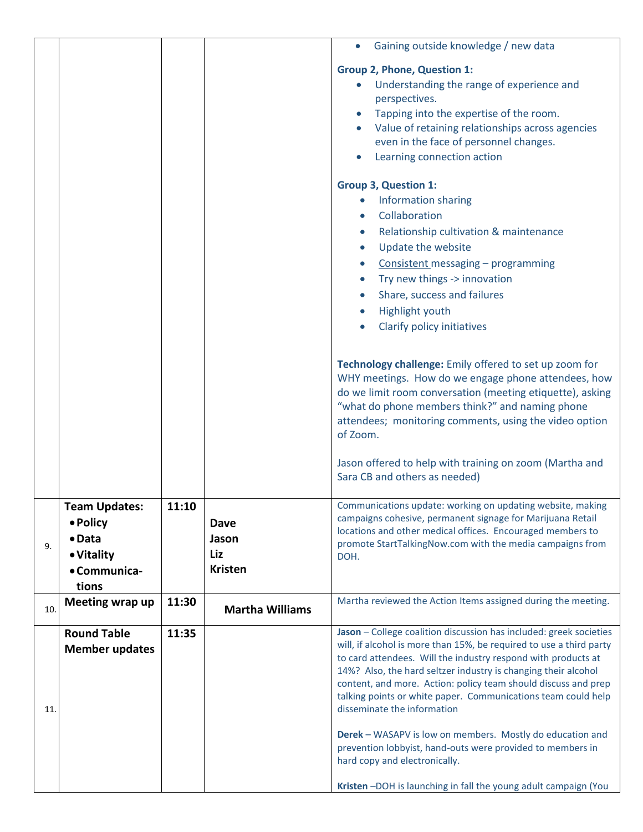|     |                       |       |                        | Gaining outside knowledge / new data<br>$\bullet$                                                                                         |  |  |
|-----|-----------------------|-------|------------------------|-------------------------------------------------------------------------------------------------------------------------------------------|--|--|
|     |                       |       |                        | <b>Group 2, Phone, Question 1:</b>                                                                                                        |  |  |
|     |                       |       |                        | Understanding the range of experience and<br>$\bullet$                                                                                    |  |  |
|     |                       |       |                        | perspectives.                                                                                                                             |  |  |
|     |                       |       |                        | Tapping into the expertise of the room.<br>$\bullet$                                                                                      |  |  |
|     |                       |       |                        | Value of retaining relationships across agencies                                                                                          |  |  |
|     |                       |       |                        | even in the face of personnel changes.                                                                                                    |  |  |
|     |                       |       |                        | Learning connection action                                                                                                                |  |  |
|     |                       |       |                        | <b>Group 3, Question 1:</b>                                                                                                               |  |  |
|     |                       |       |                        | Information sharing<br>$\bullet$                                                                                                          |  |  |
|     |                       |       |                        | Collaboration                                                                                                                             |  |  |
|     |                       |       |                        | Relationship cultivation & maintenance                                                                                                    |  |  |
|     |                       |       |                        | Update the website<br>$\bullet$                                                                                                           |  |  |
|     |                       |       |                        | Consistent messaging - programming<br>$\bullet$                                                                                           |  |  |
|     |                       |       |                        | Try new things -> innovation<br>$\bullet$                                                                                                 |  |  |
|     |                       |       |                        | Share, success and failures                                                                                                               |  |  |
|     |                       |       |                        | Highlight youth                                                                                                                           |  |  |
|     |                       |       |                        | Clarify policy initiatives                                                                                                                |  |  |
|     |                       |       |                        |                                                                                                                                           |  |  |
|     |                       |       |                        | Technology challenge: Emily offered to set up zoom for                                                                                    |  |  |
|     |                       |       |                        | WHY meetings. How do we engage phone attendees, how                                                                                       |  |  |
|     |                       |       |                        | do we limit room conversation (meeting etiquette), asking                                                                                 |  |  |
|     |                       |       |                        | "what do phone members think?" and naming phone                                                                                           |  |  |
|     |                       |       |                        | attendees; monitoring comments, using the video option<br>of Zoom.                                                                        |  |  |
|     |                       |       |                        |                                                                                                                                           |  |  |
|     |                       |       |                        | Jason offered to help with training on zoom (Martha and                                                                                   |  |  |
|     |                       |       |                        | Sara CB and others as needed)                                                                                                             |  |  |
|     | <b>Team Updates:</b>  | 11:10 |                        | Communications update: working on updating website, making                                                                                |  |  |
|     | • Policy              |       | <b>Dave</b>            | campaigns cohesive, permanent signage for Marijuana Retail                                                                                |  |  |
|     | $\bullet$ Data        |       | Jason                  | locations and other medical offices. Encouraged members to                                                                                |  |  |
| 9.  | • Vitality            |       | Liz                    | promote StartTalkingNow.com with the media campaigns from<br>DOH.                                                                         |  |  |
|     | • Communica-          |       | <b>Kristen</b>         |                                                                                                                                           |  |  |
|     | tions                 |       |                        |                                                                                                                                           |  |  |
| 10. | Meeting wrap up       | 11:30 | <b>Martha Williams</b> | Martha reviewed the Action Items assigned during the meeting.                                                                             |  |  |
|     |                       |       |                        |                                                                                                                                           |  |  |
|     | <b>Round Table</b>    | 11:35 |                        | Jason - College coalition discussion has included: greek societies<br>will, if alcohol is more than 15%, be required to use a third party |  |  |
|     | <b>Member updates</b> |       |                        | to card attendees. Will the industry respond with products at                                                                             |  |  |
|     |                       |       |                        | 14%? Also, the hard seltzer industry is changing their alcohol                                                                            |  |  |
|     |                       |       |                        | content, and more. Action: policy team should discuss and prep                                                                            |  |  |
|     |                       |       |                        | talking points or white paper. Communications team could help                                                                             |  |  |
| 11. |                       |       |                        | disseminate the information                                                                                                               |  |  |
|     |                       |       |                        | Derek - WASAPV is low on members. Mostly do education and                                                                                 |  |  |
|     |                       |       |                        | prevention lobbyist, hand-outs were provided to members in                                                                                |  |  |
|     |                       |       |                        | hard copy and electronically.                                                                                                             |  |  |
|     |                       |       |                        | Kristen-DOH is launching in fall the young adult campaign (You                                                                            |  |  |